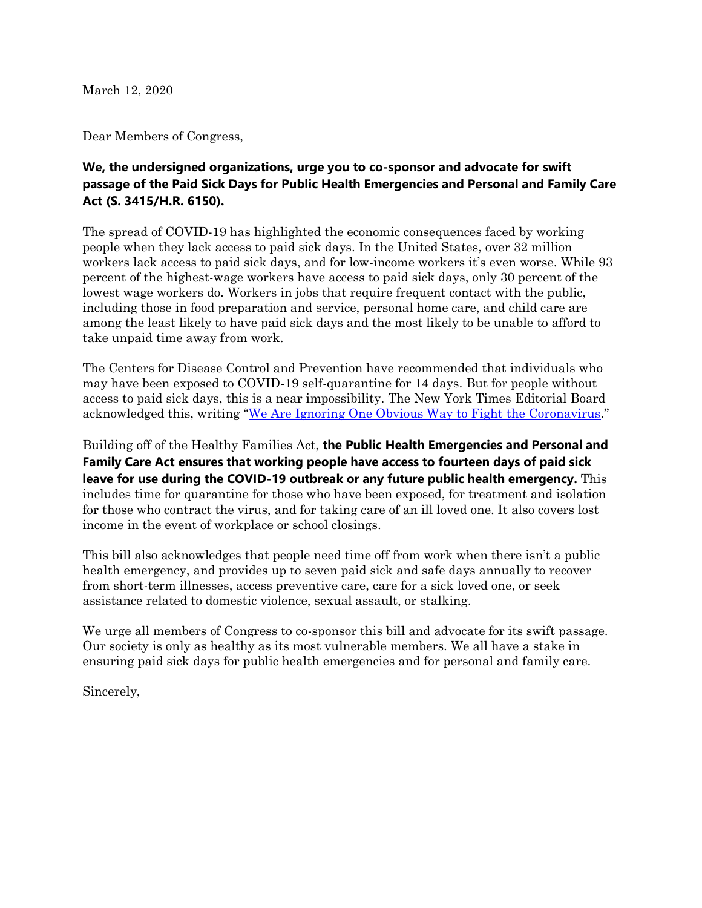March 12, 2020

Dear Members of Congress,

## **We, the undersigned organizations, urge you to co-sponsor and advocate for swift passage of the Paid Sick Days for Public Health Emergencies and Personal and Family Care Act (S. 3415/H.R. 6150).**

The spread of COVID-19 has highlighted the economic consequences faced by working people when they lack access to paid sick days. In the United States, over 32 million workers lack access to paid sick days, and for low-income workers it's even worse. While 93 percent of the highest-wage workers have access to paid sick days, only 30 percent of the lowest wage workers do. Workers in jobs that require frequent contact with the public, including those in food preparation and service, personal home care, and child care are among the least likely to have paid sick days and the most likely to be unable to afford to take unpaid time away from work.

The Centers for Disease Control and Prevention have recommended that individuals who may have been exposed to COVID-19 self-quarantine for 14 days. But for people without access to paid sick days, this is a near impossibility. The New York Times Editorial Board acknowledged this, writing "[We Are Ignoring One Obvious Way to Fight the Coronavirus.](https://nyti.ms/2IBy3LS)"

Building off of the Healthy Families Act, **the Public Health Emergencies and Personal and Family Care Act ensures that working people have access to fourteen days of paid sick leave for use during the COVID-19 outbreak or any future public health emergency.** This includes time for quarantine for those who have been exposed, for treatment and isolation for those who contract the virus, and for taking care of an ill loved one. It also covers lost income in the event of workplace or school closings.

This bill also acknowledges that people need time off from work when there isn't a public health emergency, and provides up to seven paid sick and safe days annually to recover from short-term illnesses, access preventive care, care for a sick loved one, or seek assistance related to domestic violence, sexual assault, or stalking.

We urge all members of Congress to co-sponsor this bill and advocate for its swift passage. Our society is only as healthy as its most vulnerable members. We all have a stake in ensuring paid sick days for public health emergencies and for personal and family care.

Sincerely,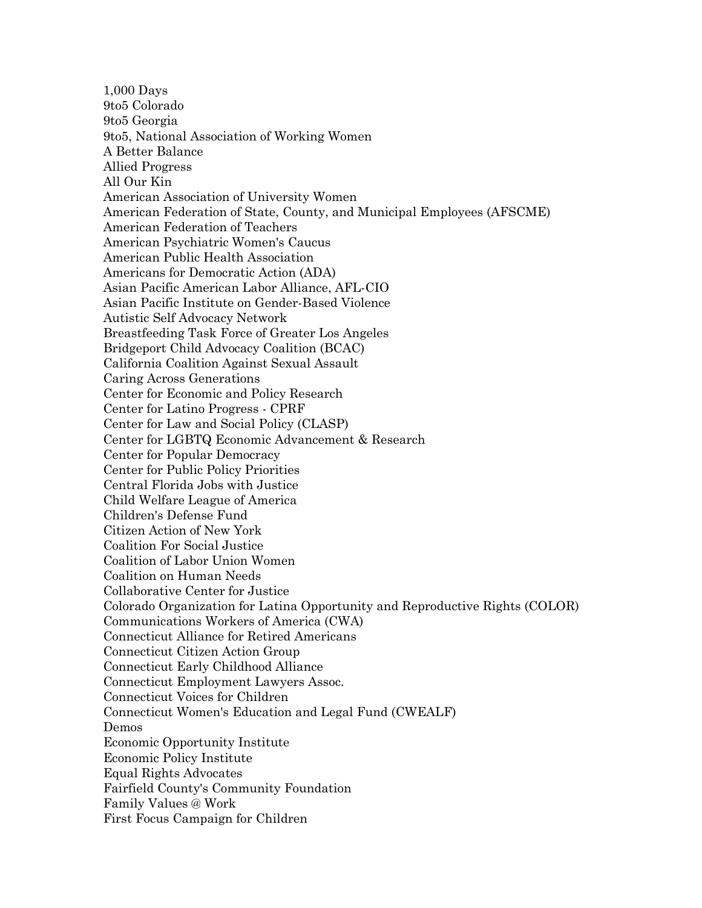1,000 Days 9to5 Colorado 9to5 Georgia 9to5, National Association of Working Women A Better Balance Allied Progress All Our Kin American Association of University Women American Federation of State, County, and Municipal Employees (AFSCME) American Federation of Teachers American Psychiatric Women's Caucus American Public Health Association Americans for Democratic Action (ADA) Asian Pacific American Labor Alliance, AFL-CIO Asian Pacific Institute on Gender-Based Violence Autistic Self Advocacy Network Breastfeeding Task Force of Greater Los Angeles Bridgeport Child Advocacy Coalition (BCAC) California Coalition Against Sexual Assault Caring Across Generations Center for Economic and Policy Research Center for Latino Progress - CPRF Center for Law and Social Policy (CLASP) Center for LGBTQ Economic Advancement & Research Center for Popular Democracy Center for Public Policy Priorities Central Florida Jobs with Justice Child Welfare League of America Children's Defense Fund Citizen Action of New York Coalition For Social Justice Coalition of Labor Union Women Coalition on Human Needs Collaborative Center for Justice Colorado Organization for Latina Opportunity and Reproductive Rights (COLOR) Communications Workers of America (CWA) Connecticut Alliance for Retired Americans Connecticut Citizen Action Group Connecticut Early Childhood Alliance Connecticut Employment Lawyers Assoc. Connecticut Voices for Children Connecticut Women's Education and Legal Fund (CWEALF) Demos Economic Opportunity Institute Economic Policy Institute Equal Rights Advocates Fairfield County's Community Foundation Family Values @ Work First Focus Campaign for Children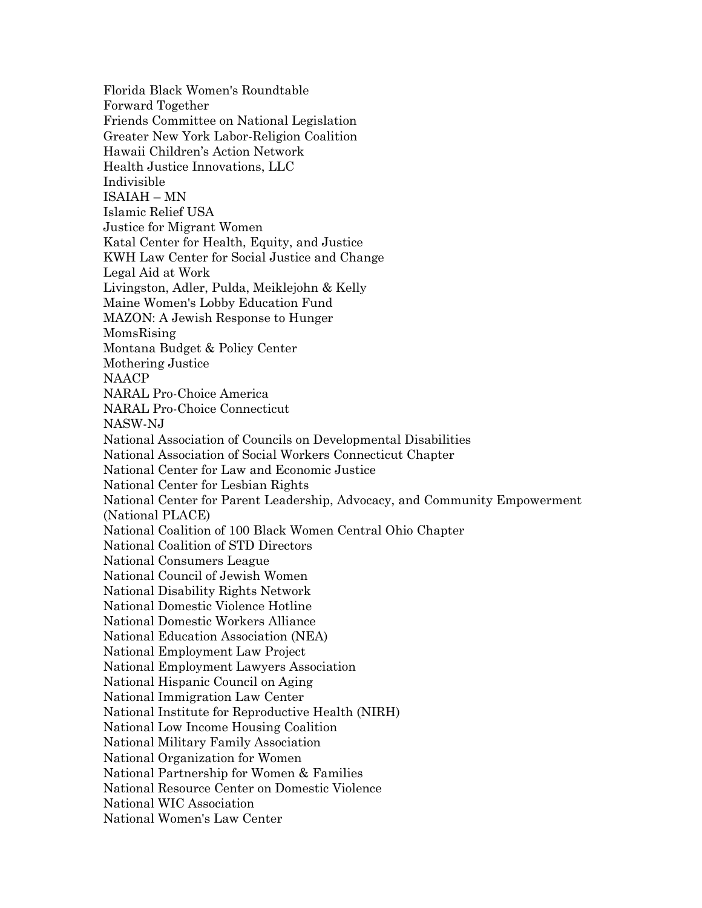Florida Black Women's Roundtable Forward Together Friends Committee on National Legislation Greater New York Labor-Religion Coalition Hawaii Children's Action Network Health Justice Innovations, LLC Indivisible ISAIAH – MN Islamic Relief USA Justice for Migrant Women Katal Center for Health, Equity, and Justice KWH Law Center for Social Justice and Change Legal Aid at Work Livingston, Adler, Pulda, Meiklejohn & Kelly Maine Women's Lobby Education Fund MAZON: A Jewish Response to Hunger MomsRising Montana Budget & Policy Center Mothering Justice NAACP NARAL Pro-Choice America NARAL Pro-Choice Connecticut NASW-NJ National Association of Councils on Developmental Disabilities National Association of Social Workers Connecticut Chapter National Center for Law and Economic Justice National Center for Lesbian Rights National Center for Parent Leadership, Advocacy, and Community Empowerment (National PLACE) National Coalition of 100 Black Women Central Ohio Chapter National Coalition of STD Directors National Consumers League National Council of Jewish Women National Disability Rights Network National Domestic Violence Hotline National Domestic Workers Alliance National Education Association (NEA) National Employment Law Project National Employment Lawyers Association National Hispanic Council on Aging National Immigration Law Center National Institute for Reproductive Health (NIRH) National Low Income Housing Coalition National Military Family Association National Organization for Women National Partnership for Women & Families National Resource Center on Domestic Violence National WIC Association National Women's Law Center